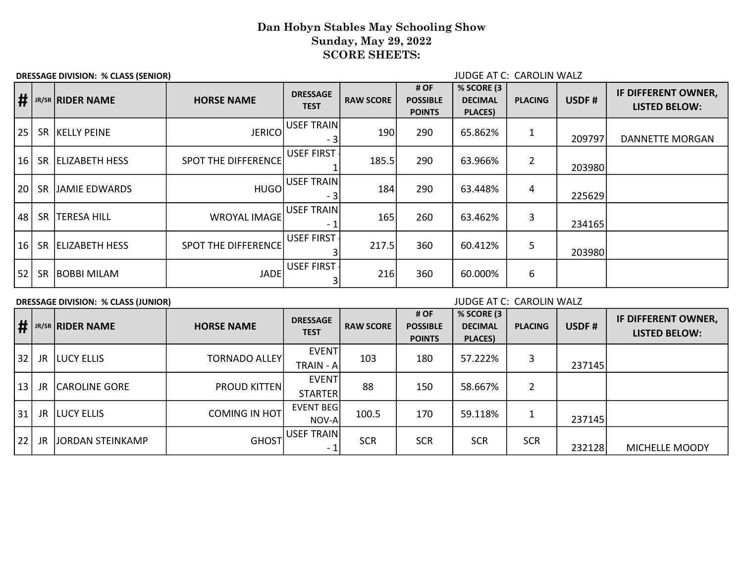## Dan Hobyn Stables May Schooling Show Sunday, May 29, 2022 SCORE SHEETS:

DRESSAGE DIVISION: % CLASS (SENIOR) JUDGE AT C: CAROLIN WALZ

| #               |           | JR/SR RIDER NAME      | <b>HORSE NAME</b>          | <b>DRESSAGE</b><br><b>TEST</b> | <b>RAW SCORE</b> | # OF<br><b>POSSIBLE</b><br><b>POINTS</b> | % SCORE (3<br><b>DECIMAL</b><br><b>PLACES</b> ) | <b>PLACING</b> | USDF#  | IF DIFFERENT OWNER,<br><b>LISTED BELOW:</b> |
|-----------------|-----------|-----------------------|----------------------------|--------------------------------|------------------|------------------------------------------|-------------------------------------------------|----------------|--------|---------------------------------------------|
| 25              |           | SR KELLY PEINE        | <b>JERICO</b>              | USEF TRAIN<br>- 3              | 190              | 290                                      | 65.862%                                         |                | 209797 | DANNETTE MORGAN                             |
| 16 <sup>1</sup> | <b>SR</b> | <b>ELIZABETH HESS</b> | <b>SPOT THE DIFFERENCE</b> | <b>USEF FIRST</b>              | 185.5            | 290                                      | 63.966%                                         | $\overline{2}$ | 203980 |                                             |
| 20              | <b>SR</b> | JAMIE EDWARDS         | <b>HUGO</b>                | USEF TRAIN<br>- 3              | 184              | 290                                      | 63.448%                                         | 4              | 225629 |                                             |
| 48              | <b>SR</b> | <b>TERESA HILL</b>    | <b>WROYAL IMAGE</b>        | USEF TRAIN<br>- 1              | 165              | 260                                      | 63.462%                                         | 3              | 234165 |                                             |
| 16              | <b>SR</b> | <b>ELIZABETH HESS</b> | <b>SPOT THE DIFFERENCE</b> | <b>USEF FIRST</b>              | 217.5            | 360                                      | 60.412%                                         | 5              | 203980 |                                             |
| 52              | <b>SR</b> | <b>BOBBI MILAM</b>    | <b>JADE</b>                | <b>USEF FIRST</b>              | 216              | 360                                      | 60.000%                                         | 6              |        |                                             |

DRESSAGE DIVISION: % CLASS (JUNIOR) JUDGE AT C: CAROLIN WALZ

| $\vert \sharp$  |     | JR/SR RIDER NAME     | <b>HORSE NAME</b>    | <b>DRESSAGE</b><br><b>TEST</b>         | <b>RAW SCORE</b> | # OF<br><b>POSSIBLE</b><br><b>POINTS</b> | % SCORE (3<br><b>DECIMAL</b><br>PLACES) | <b>PLACING</b> | USDF#  | IF DIFFERENT OWNER,<br><b>LISTED BELOW:</b> |
|-----------------|-----|----------------------|----------------------|----------------------------------------|------------------|------------------------------------------|-----------------------------------------|----------------|--------|---------------------------------------------|
| 32              |     | JR   LUCY ELLIS      | TORNADO ALLEY        | <b>EVENT</b><br>TRAIN - A              | 103              | 180                                      | 57.222%                                 | 3              | 237145 |                                             |
| 13 <sup>1</sup> | JR  | <b>CAROLINE GORE</b> | <b>PROUD KITTEN</b>  | <b>EVENT</b><br><b>STARTER</b>         | 88               | 150                                      | 58.667%                                 | 2              |        |                                             |
| 31              |     | JR LUCY ELLIS        | <b>COMING IN HOT</b> | EVENT BEG<br>NOV-A                     | 100.5            | 170                                      | 59.118%                                 |                | 237145 |                                             |
| 22              | JR. | JORDAN STEINKAMP     | <b>GHOST</b>         | USEF TRAIN<br>$\overline{\phantom{a}}$ | <b>SCR</b>       | <b>SCR</b>                               | <b>SCR</b>                              | <b>SCR</b>     | 232128 | MICHELLE MOODY                              |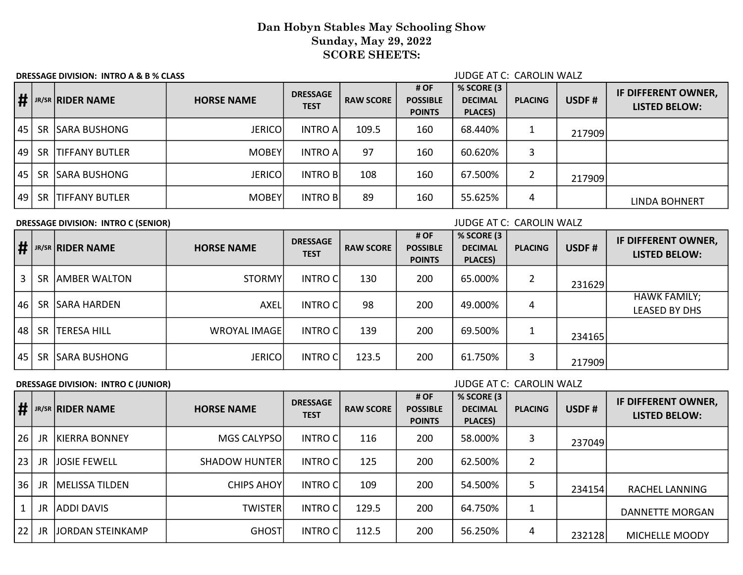## Dan Hobyn Stables May Schooling Show Sunday, May 29, 2022 SCORE SHEETS:

DRESSAGE DIVISION: INTRO A & B % CLASS AND RESSAGE DIVISION: INTRO A & B % CLASS

|      |           | $\#$ JR/SR RIDER NAME | <b>HORSE NAME</b> | <b>DRESSAGE</b><br><b>TEST</b> | <b>RAW SCORE</b> | # OF<br><b>POSSIBLE</b><br><b>POINTS</b> | % SCORE (3<br><b>DECIMAL</b><br>PLACES) | <b>PLACING</b> | USDF#  | IF DIFFERENT OWNER,<br><b>LISTED BELOW:</b> |
|------|-----------|-----------------------|-------------------|--------------------------------|------------------|------------------------------------------|-----------------------------------------|----------------|--------|---------------------------------------------|
|      | $45$ SR   | <b>SARA BUSHONG</b>   | <b>JERICOI</b>    | <b>INTRO A</b>                 | 109.5            | 160                                      | 68.440%                                 |                | 217909 |                                             |
| 49 l | -SR       | <b>TIFFANY BUTLER</b> | <b>MOBEY</b>      | <b>INTRO A</b>                 | 97               | 160                                      | 60.620%                                 | 3              |        |                                             |
|      |           | 45   SR SARA BUSHONG  | <b>JERICOI</b>    | <b>INTRO B</b>                 | 108              | 160                                      | 67.500%                                 | 2              | 217909 |                                             |
| 49 l | <b>SR</b> | <b>TIFFANY BUTLER</b> | <b>MOBEY</b>      | <b>INTRO B</b>                 | 89               | 160                                      | 55.625%                                 | 4              |        | LINDA BOHNERT                               |

### DRESSAGE DIVISION: INTRO C (SENIOR) **DRESSAGE DIVISION:** INTRO C (SENIOR)

|      | $\frac{1}{2}$ JR/SR RIDER NAME | <b>HORSE NAME</b> | <b>DRESSAGE</b><br><b>TEST</b> | <b>RAW SCORE</b> | # OF<br><b>POSSIBLE</b><br><b>POINTS</b> | % SCORE (3<br><b>DECIMAL</b><br><b>PLACES</b> ) | <b>PLACING</b> | USDF#  | IF DIFFERENT OWNER,<br><b>LISTED BELOW:</b> |
|------|--------------------------------|-------------------|--------------------------------|------------------|------------------------------------------|-------------------------------------------------|----------------|--------|---------------------------------------------|
| 3    | SR AMBER WALTON                | <b>STORMY</b>     | <b>INTRO C</b>                 | 130              | 200                                      | 65.000%                                         |                | 231629 |                                             |
| 46 I | SR SARA HARDEN                 | <b>AXEL</b>       | <b>INTRO C</b>                 | 98               | 200                                      | 49.000%                                         | 4              |        | <b>HAWK FAMILY;</b><br><b>LEASED BY DHS</b> |
| 48 l | SR   TERESA HILL               | WROYAL IMAGE      | <b>INTRO C</b>                 | 139              | 200                                      | 69.500%                                         |                | 234165 |                                             |
| 45 l | SR SARA BUSHONG                | <b>JERICO</b>     | <b>INTRO C</b>                 | 123.5            | 200                                      | 61.750%                                         |                | 217909 |                                             |

### DRESSAGE DIVISION: INTRO C (JUNIOR) **DRESSAGE DIVISION: INTRO C** (JUNIOR)

| $\mathbf{H}'$   |           | <b>IR/SR RIDER NAME</b> | <b>HORSE NAME</b>     | <b>DRESSAGE</b><br><b>TEST</b> | <b>RAW SCORE</b> | # OF<br><b>POSSIBLE</b><br><b>POINTS</b> | % SCORE (3<br><b>DECIMAL</b><br>PLACES) | <b>PLACING</b> | USDF#  | IF DIFFERENT OWNER,<br><b>LISTED BELOW:</b> |
|-----------------|-----------|-------------------------|-----------------------|--------------------------------|------------------|------------------------------------------|-----------------------------------------|----------------|--------|---------------------------------------------|
| 26 <sub>1</sub> | JR        | <b>IKIERRA BONNEY</b>   | MGS CALYPSOL          | <b>INTRO CI</b>                | 116              | 200                                      | 58.000%                                 | 3              | 237049 |                                             |
| 23              | <b>JR</b> | lJOSIE FEWELL           | <b>SHADOW HUNTERI</b> | <b>INTRO CI</b>                | 125              | 200                                      | 62.500%                                 | 2              |        |                                             |
| 36 <sup>1</sup> | JR        | <b>IMELISSA TILDEN</b>  | <b>CHIPS AHOY</b>     | <b>INTRO CI</b>                | 109              | 200                                      | 54.500%                                 | 5              | 234154 | <b>RACHEL LANNING</b>                       |
|                 | JR.       | <b>ADDI DAVIS</b>       | <b>TWISTER</b>        | <b>INTRO CI</b>                | 129.5            | 200                                      | 64.750%                                 | 1              |        | DANNETTE MORGAN                             |
| 22              | <b>JR</b> | JORDAN STEINKAMP        | <b>GHOST</b>          | <b>INTRO CI</b>                | 112.5            | 200                                      | 56.250%                                 | 4              | 232128 | MICHELLE MOODY                              |